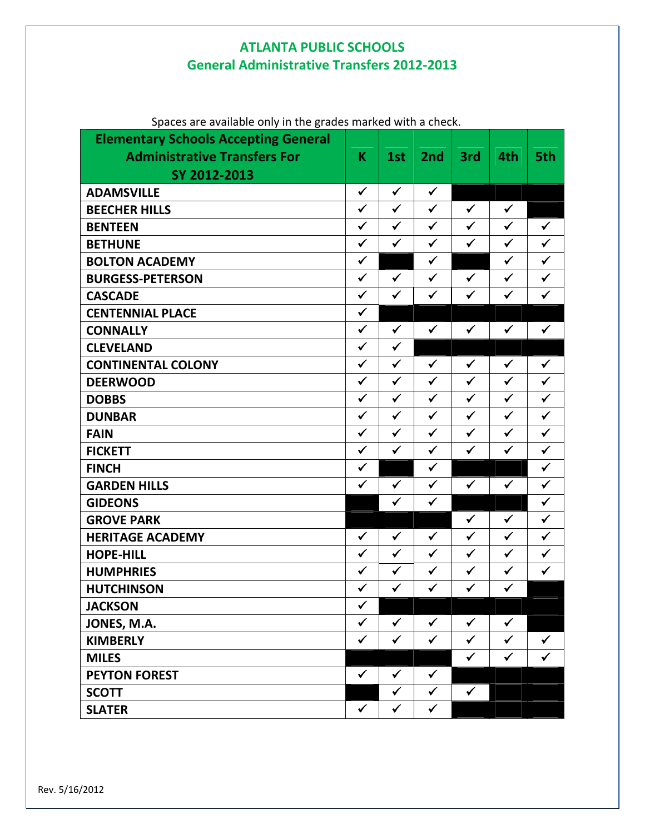## **ATLANTA PUBLIC SCHOOLS General Administrative Transfers 2012‐2013**

| <b>Elementary Schools Accepting General</b><br><b>Administrative Transfers For</b><br>SY 2012-2013 | K            | 1st          | 2nd          | 3rd          | 4th          | 5th          |
|----------------------------------------------------------------------------------------------------|--------------|--------------|--------------|--------------|--------------|--------------|
| <b>ADAMSVILLE</b>                                                                                  | $\checkmark$ | $\checkmark$ | $\checkmark$ |              |              |              |
| <b>BEECHER HILLS</b>                                                                               | $\checkmark$ | $\checkmark$ | $\checkmark$ | $\checkmark$ | $\checkmark$ |              |
| <b>BENTEEN</b>                                                                                     | $\checkmark$ | $\checkmark$ | $\checkmark$ | $\checkmark$ | $\checkmark$ | $\checkmark$ |
| <b>BETHUNE</b>                                                                                     | $\checkmark$ | $\checkmark$ | $\checkmark$ | $\checkmark$ | $\checkmark$ | $\checkmark$ |
| <b>BOLTON ACADEMY</b>                                                                              | $\checkmark$ |              | $\checkmark$ |              | $\checkmark$ | $\checkmark$ |
| <b>BURGESS-PETERSON</b>                                                                            | $\checkmark$ | $\checkmark$ | $\checkmark$ | $\checkmark$ | $\checkmark$ | $\checkmark$ |
| <b>CASCADE</b>                                                                                     | $\checkmark$ | $\checkmark$ | $\checkmark$ | $\checkmark$ | $\checkmark$ | $\checkmark$ |
| <b>CENTENNIAL PLACE</b>                                                                            | $\checkmark$ |              |              |              |              |              |
| <b>CONNALLY</b>                                                                                    | $\checkmark$ | $\checkmark$ | $\checkmark$ | $\checkmark$ | $\checkmark$ | $\checkmark$ |
| <b>CLEVELAND</b>                                                                                   | $\checkmark$ | $\checkmark$ |              |              |              |              |
| <b>CONTINENTAL COLONY</b>                                                                          | $\checkmark$ | $\checkmark$ | $\checkmark$ | $\checkmark$ | $\checkmark$ | $\checkmark$ |
| <b>DEERWOOD</b>                                                                                    | $\checkmark$ | $\checkmark$ | $\checkmark$ | $\checkmark$ | $\checkmark$ | $\checkmark$ |
| <b>DOBBS</b>                                                                                       | $\checkmark$ | $\checkmark$ | $\checkmark$ | $\checkmark$ | $\checkmark$ | $\checkmark$ |
| <b>DUNBAR</b>                                                                                      | $\checkmark$ | $\checkmark$ | $\checkmark$ | $\checkmark$ | $\checkmark$ | $\checkmark$ |
| <b>FAIN</b>                                                                                        | $\checkmark$ | $\checkmark$ | $\checkmark$ | $\checkmark$ | $\checkmark$ | $\checkmark$ |
| <b>FICKETT</b>                                                                                     | $\checkmark$ | $\checkmark$ | $\checkmark$ | $\checkmark$ | $\checkmark$ | $\checkmark$ |
| <b>FINCH</b>                                                                                       | $\checkmark$ |              | $\checkmark$ |              |              | $\checkmark$ |
| <b>GARDEN HILLS</b>                                                                                | $\checkmark$ | $\checkmark$ | $\checkmark$ | $\checkmark$ | $\checkmark$ | $\checkmark$ |
| <b>GIDEONS</b>                                                                                     |              | $\checkmark$ | $\checkmark$ |              |              | $\checkmark$ |
| <b>GROVE PARK</b>                                                                                  |              |              |              | $\checkmark$ | $\checkmark$ | $\checkmark$ |
| <b>HERITAGE ACADEMY</b>                                                                            | $\checkmark$ | $\checkmark$ | $\checkmark$ | $\checkmark$ | $\checkmark$ | $\checkmark$ |
| <b>HOPE-HILL</b>                                                                                   | $\checkmark$ | $\checkmark$ | $\checkmark$ | $\checkmark$ | $\checkmark$ | $\checkmark$ |
| <b>HUMPHRIES</b>                                                                                   | $\checkmark$ | $\checkmark$ | $\checkmark$ | $\checkmark$ | $\checkmark$ | $\checkmark$ |
| <b>HUTCHINSON</b>                                                                                  | $\checkmark$ | $\checkmark$ | $\checkmark$ | $\checkmark$ | $\checkmark$ |              |
| <b>JACKSON</b>                                                                                     | ✓            |              |              |              |              |              |
| JONES, M.A.                                                                                        | $\checkmark$ | $\checkmark$ | $\checkmark$ | $\checkmark$ | $\checkmark$ |              |
| <b>KIMBERLY</b>                                                                                    | ✓            | $\checkmark$ | $\checkmark$ | $\checkmark$ | $\checkmark$ | $\checkmark$ |
| <b>MILES</b>                                                                                       |              |              |              | $\checkmark$ | $\checkmark$ | $\checkmark$ |
| <b>PEYTON FOREST</b>                                                                               | $\checkmark$ | $\checkmark$ | $\checkmark$ |              |              |              |
| <b>SCOTT</b>                                                                                       |              | $\checkmark$ | $\checkmark$ | $\checkmark$ |              |              |
| <b>SLATER</b>                                                                                      | $\checkmark$ | ✓            | $\checkmark$ |              |              |              |

Spaces are available only in the grades marked with a check.